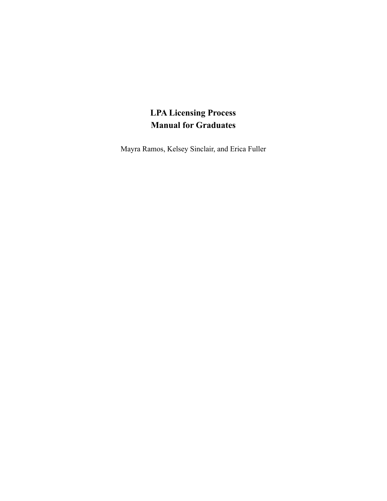# **LPA Licensing Process Manual for Graduates**

Mayra Ramos, Kelsey Sinclair, and Erica Fuller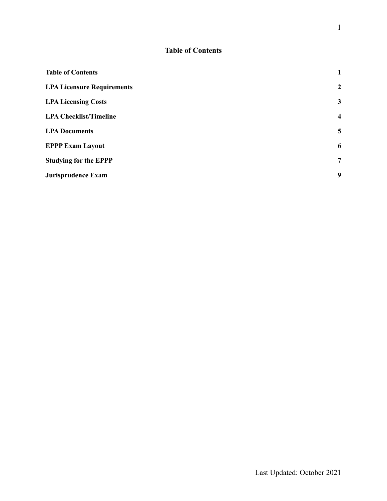# **Table of Contents**

<span id="page-1-0"></span>

| <b>Table of Contents</b>          | $\mathbf{1}$     |
|-----------------------------------|------------------|
| <b>LPA Licensure Requirements</b> | $\overline{2}$   |
| <b>LPA Licensing Costs</b>        | $\mathbf{3}$     |
| <b>LPA Checklist/Timeline</b>     | $\boldsymbol{4}$ |
| <b>LPA Documents</b>              | 5                |
| <b>EPPP Exam Layout</b>           | 6                |
| <b>Studying for the EPPP</b>      | 7                |
| Jurisprudence Exam                | 9                |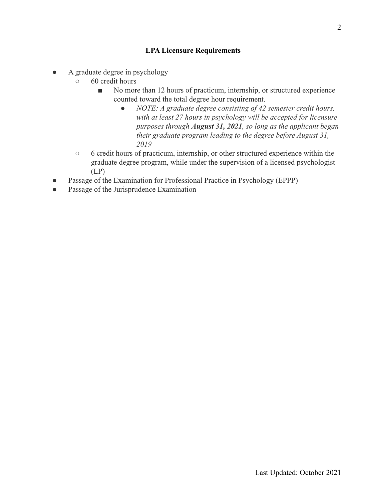### **LPA Licensure Requirements**

- <span id="page-2-0"></span>A graduate degree in psychology
	- 60 credit hours
		- No more than 12 hours of practicum, internship, or structured experience counted toward the total degree hour requirement.
			- *● NOTE: A graduate degree consisting of 42 semester credit hours, with at least 27 hours in psychology will be accepted for licensure purposes through August 31, 2021, so long as the applicant began their graduate program leading to the degree before August 31, 2019*
	- 6 credit hours of practicum, internship, or other structured experience within the graduate degree program, while under the supervision of a licensed psychologist (LP)
- Passage of the Examination for Professional Practice in Psychology (EPPP)
- Passage of the Jurisprudence Examination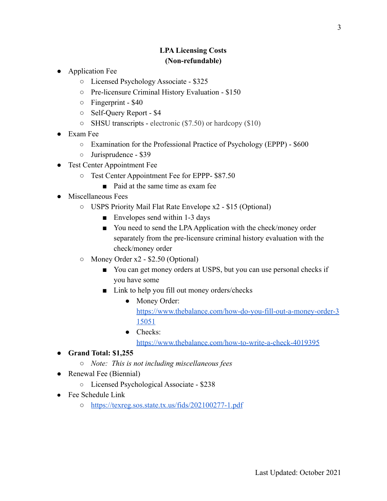### **LPA Licensing Costs (Non-refundable)**

- <span id="page-3-0"></span>Application Fee
	- Licensed Psychology Associate \$325
	- Pre-licensure Criminal History Evaluation \$150
	- Fingerprint \$40
	- Self-Query Report \$4
	- SHSU transcripts electronic (\$7.50) or hardcopy (\$10)
- Exam Fee
	- Examination for the Professional Practice of Psychology (EPPP) \$600
	- Jurisprudence \$39
- Test Center Appointment Fee
	- Test Center Appointment Fee for EPPP- \$87.50
		- Paid at the same time as exam fee
- Miscellaneous Fees
	- USPS Priority Mail Flat Rate Envelope x2 \$15 (Optional)
		- Envelopes send within 1-3 days
		- You need to send the LPA Application with the check/money order separately from the pre-licensure criminal history evaluation with the check/money order
	- Money Order x2 \$2.50 (Optional)
		- You can get money orders at USPS, but you can use personal checks if you have some
		- Link to help you fill out money orders/checks
			- Money Order: [https://www.thebalance.com/how-do-you-fill-out-a-money-order-3](https://www.thebalance.com/how-do-you-fill-out-a-money-order-315051) [15051](https://www.thebalance.com/how-do-you-fill-out-a-money-order-315051)
			- Checks<sup>•</sup> <https://www.thebalance.com/how-to-write-a-check-4019395>
- **● Grand Total: \$1,255**
	- *○ Note: This is not including miscellaneous fees*
- Renewal Fee (Biennial)
	- Licensed Psychological Associate \$238
- $\bullet$  Fee Schedule Link
	- <https://texreg.sos.state.tx.us/fids/202100277-1.pdf>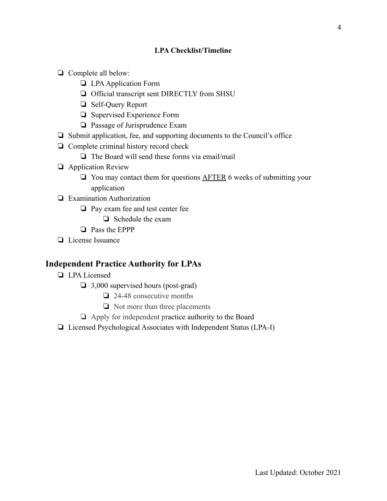#### **LPA Checklist/Timeline**

- <span id="page-4-0"></span>❏ Complete all below:
	- ❏ LPAApplication Form
	- ❏ Official transcript sent DIRECTLY from SHSU
	- ❏ Self-Query Report
	- ❏ Supervised Experience Form
	- ❏ Passage of Jurisprudence Exam
- ❏ Submit application, fee, and supporting documents to the Council's office
- ❏ Complete criminal history record check
	- ❏ The Board will send these forms via email/mail
- ❏ Application Review
	- ❏ You may contact them for questions AFTER 6 weeks of submitting your application
- ❏ Examination Authorization
	- ❏ Pay exam fee and test center fee
		- ❏ Schedule the exam
	- ❏ Pass the EPPP
- ❏ License Issuance

### **Independent Practice Authority for LPAs**

- ❏ LPA Licensed
	- ❏ 3,000 supervised hours (post-grad)
		- ❏ 24-48 consecutive months
		- ❏ Not more than three placements
	- ❏ Apply for independent practice authority to the Board
- ❏ Licensed Psychological Associates with Independent Status (LPA-I)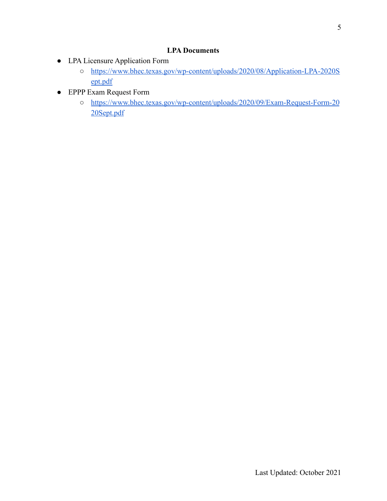### **LPA Documents**

- <span id="page-5-0"></span>● LPA Licensure Application Form
	- [https://www.bhec.texas.gov/wp-content/uploads/2020/08/Application-LPA-2020S](https://www.bhec.texas.gov/wp-content/uploads/2020/08/Application-LPA-2020Sept.pdf) [ept.pdf](https://www.bhec.texas.gov/wp-content/uploads/2020/08/Application-LPA-2020Sept.pdf)
- EPPP Exam Request Form
	- [https://www.bhec.texas.gov/wp-content/uploads/2020/09/Exam-Request-Form-20](https://www.bhec.texas.gov/wp-content/uploads/2020/09/Exam-Request-Form-2020Sept.pdf) [20Sept.pdf](https://www.bhec.texas.gov/wp-content/uploads/2020/09/Exam-Request-Form-2020Sept.pdf)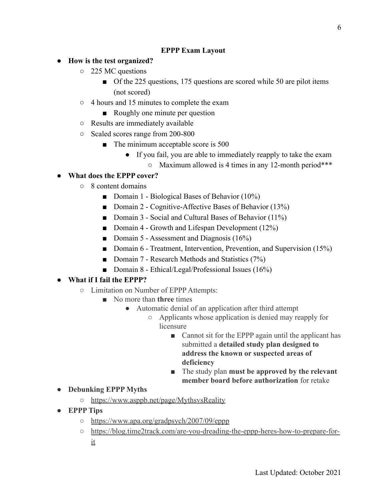### **EPPP Exam Layout**

- <span id="page-6-0"></span>**● How is the test organized?**
	- 225 MC questions
		- Of the 225 questions, 175 questions are scored while 50 are pilot items (not scored)
	- 4 hours and 15 minutes to complete the exam
		- Roughly one minute per question
	- Results are immediately available
	- Scaled scores range from 200-800
		- The minimum acceptable score is 500
			- If you fail, you are able to immediately reapply to take the exam
				- Maximum allowed is 4 times in any 12-month period\*\*\*
- **● What does the EPPP cover?**
	- 8 content domains
		- Domain 1 Biological Bases of Behavior (10%)
		- Domain 2 Cognitive-Affective Bases of Behavior (13%)
		- Domain 3 Social and Cultural Bases of Behavior (11%)
		- Domain 4 Growth and Lifespan Development (12%)
		- Domain 5 Assessment and Diagnosis (16%)
		- Domain 6 Treatment, Intervention, Prevention, and Supervision (15%)
		- Domain 7 Research Methods and Statistics (7%)
		- Domain 8 Ethical/Legal/Professional Issues (16%)

#### **● What if I fail the EPPP?**

- Limitation on Number of EPPP Attempts:
	- No more than **three** times
		- Automatic denial of an application after third attempt
			- Applicants whose application is denied may reapply for licensure
				- Cannot sit for the EPPP again until the applicant has submitted a **detailed study plan designed to address the known or suspected areas of deficiency**
				- The study plan **must be approved by the relevant member board before authorization** for retake
- **● Debunking EPPP Myths**
	- <https://www.asppb.net/page/MythsvsReality>
- **● EPPP Tips**
	- <https://www.apa.org/gradpsych/2007/09/eppp>
	- [https://blog.time2track.com/are-you-dreading-the-eppp-heres-how-to-prepare-for](https://blog.time2track.com/are-you-dreading-the-eppp-heres-how-to-prepare-for-it)[it](https://blog.time2track.com/are-you-dreading-the-eppp-heres-how-to-prepare-for-it)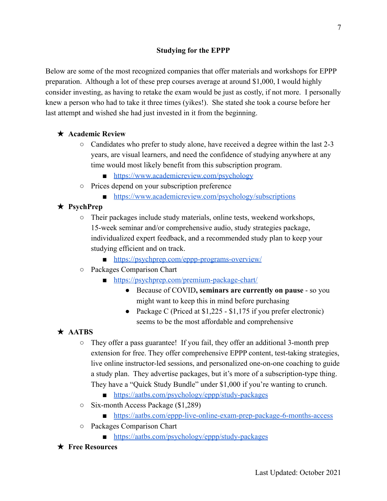<span id="page-7-0"></span>Below are some of the most recognized companies that offer materials and workshops for EPPP preparation. Although a lot of these prep courses average at around \$1,000, I would highly consider investing, as having to retake the exam would be just as costly, if not more. I personally knew a person who had to take it three times (yikes!). She stated she took a course before her last attempt and wished she had just invested in it from the beginning.

### ★ **Academic Review**

- $\circ$  Candidates who prefer to study alone, have received a degree within the last 2-3 years, are visual learners, and need the confidence of studying anywhere at any time would most likely benefit from this subscription program.
	- <https://www.academicreview.com/psychology>
- Prices depend on your subscription preference
	- <https://www.academicreview.com/psychology/subscriptions>

## ★ **PsychPrep**

- Their packages include study materials, online tests, weekend workshops, 15-week seminar and/or comprehensive audio, study strategies package, individualized expert feedback, and a recommended study plan to keep your studying efficient and on track.
	- <https://psychprep.com/eppp-programs-overview/>
- Packages Comparison Chart
	- <https://psychprep.com/premium-package-chart/>
		- Because of COVID**, seminars are currently on pause** so you might want to keep this in mind before purchasing
		- Package C (Priced at \$1,225 \$1,175 if you prefer electronic) seems to be the most affordable and comprehensive

# ★ **AATBS**

- They offer a pass guarantee! If you fail, they offer an additional 3-month prep extension for free. They offer comprehensive EPPP content, test-taking strategies, live online instructor-led sessions, and personalized one-on-one coaching to guide a study plan. They advertise packages, but it's more of a subscription-type thing. They have a "Quick Study Bundle" under \$1,000 if you're wanting to crunch.
	- <https://aatbs.com/psychology/eppp/study-packages>
- Six-month Access Package (\$1,289)
	- <https://aatbs.com/eppp-live-online-exam-prep-package-6-months-access>
- Packages Comparison Chart
	- <https://aatbs.com/psychology/eppp/study-packages>
- ★ **Free Resources**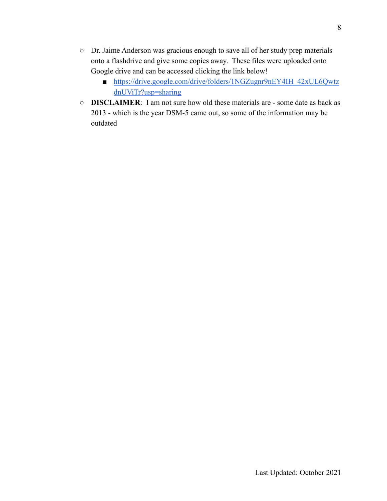- Dr. Jaime Anderson was gracious enough to save all of her study prep materials onto a flashdrive and give some copies away. These files were uploaded onto Google drive and can be accessed clicking the link below!
	- [https://drive.google.com/drive/folders/1NGZugnr9nEY4IH\\_42xUL6Qwtz](https://drive.google.com/drive/folders/1NGZugnr9nEY4IH_42xUL6QwtzdnUViTr?usp=sharing) [dnUViTr?usp=sharing](https://drive.google.com/drive/folders/1NGZugnr9nEY4IH_42xUL6QwtzdnUViTr?usp=sharing)
- **DISCLAIMER**: I am not sure how old these materials are some date as back as 2013 - which is the year DSM-5 came out, so some of the information may be outdated